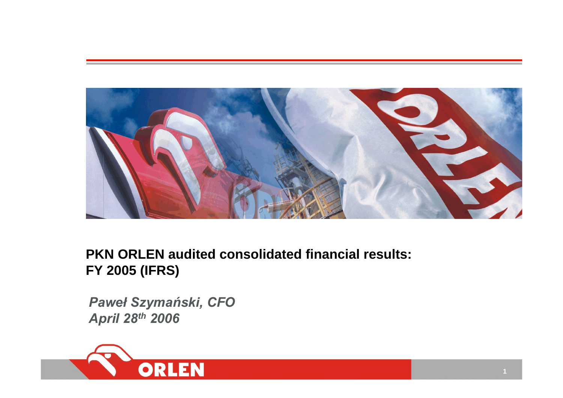

# **PKN ORLEN audited consolidated financial results: FY 2005 (IFRS)**

*Paweł Szymański, CFO April 28th 2006* 

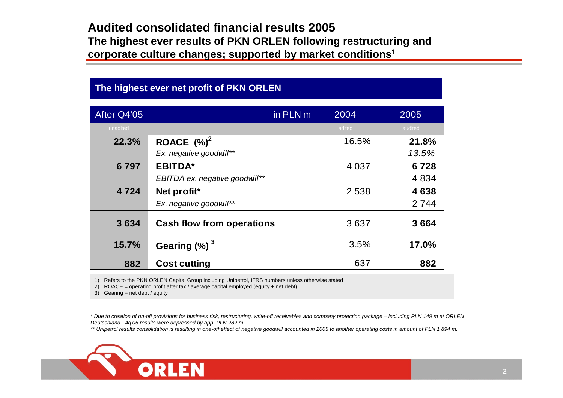### **Audited consolidated financial results 2005The highest ever results of PKN ORLEN following restructuring and corpora te culture changes; supported by market conditions1**

### **The highest ever net profit of PKN ORLEN**

| After Q4'05 |                                  | in PLN m | 2004    | 2005    |
|-------------|----------------------------------|----------|---------|---------|
| unadited    |                                  |          | adited  | audited |
| 22.3%       | ROACE $(%)^2$                    |          | 16.5%   | 21.8%   |
|             | Ex. negative goodwill**          |          |         | 13.5%   |
| 6797        | <b>EBITDA*</b>                   |          | 4 0 3 7 | 6728    |
|             | EBITDA ex. negative goodwill**   |          |         | 4834    |
| 4724        | Net profit*                      |          | 2538    | 4638    |
|             | Ex. negative goodwill**          |          |         | 2 7 4 4 |
| 3634        | <b>Cash flow from operations</b> |          | 3637    | 3664    |
| 15.7%       | Gearing $(\%)$ <sup>3</sup>      |          | 3.5%    | 17.0%   |
| 882         | <b>Cost cutting</b>              |          | 637     | 882     |

1) Refers to the PKN ORLEN Capital Group including Unipetrol, IFRS numbers unless otherwise stated

2) R O A CE = operating profit after tax / average capital e mployed (equity <sup>+</sup> net debt)

3) Gearing = net debt / equity

*\* Due to creation of on-off provisions for business risk, restructuring, write-off receivables and company protection package – including PL N 149 m at ORLEN Deutschland - 4q'05 results were depressed by app. PL N 282 m.*

\*\* Unipetrol results consolidation is resulting in one-off effect of negative goodwill accounted in 2005 to another operating costs in amount of PLN 1 894 m.

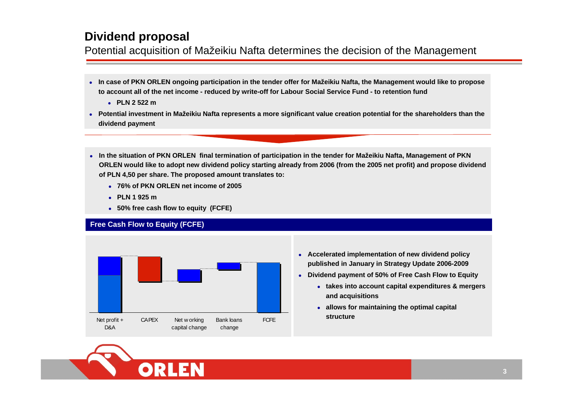### **Dividend proposal**

Potential acquisition of Mažeikiu Nafta determines the decision of the Management

- $\bullet$  **In case of PKN ORLEN ongoing participation in the tender offer for Mažeikiu Nafta, the Management would like to propose to account all of the net income - reduced by write-off for Labour Social Service Fund - to retention fund**
	- z **PLN 2 522 m**
- z **Potential investment in Mažeikiu Nafta represents <sup>a</sup> more significant value creation potential for the shareholders than the dividend payment**
- **•** In the situation of PKN ORLEN final termination of participation in the tender for Mažeikiu Nafta, Management of PKN **ORLEN would like to adopt new dividend policy starting already from 2006 (from the 2005 net profit) and propose dividend of PLN 4,50 per share. The proposed amount translates to:**
	- z **76% of PKN ORLEN net income of 2005**
	- z **PLN 1 925 m**
	- z **50% free cash flow to equity (FCFE)**

### **Free Cash Flow to Equity (FCFE)**



- **Accelerated implementation of new dividend policy published in January in Strategy Update 2006-2009**
- $\bullet$  **Dividend payment of 50% of Free Cash Flow to Equity**
	- **takes into account capital expenditures & mergers and acquisitions**
	- **allows for maintaining the optimal capital structure**

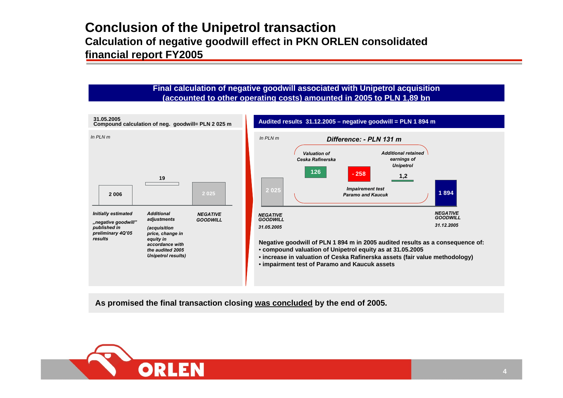### **Conclusion of the Unipetrol t ransaction Calculation of negative goodwill effect in PKN ORL E N consolidated financial report FY2005**

#### **Final calculation of negative goodwill associated with Unipetr ol acquisition (ac counted to other operating costs) amo unted in 2005 to PLN 1,89 bn**



**As promised the final transaction closi ng w as concluded b y the end of 2005.**

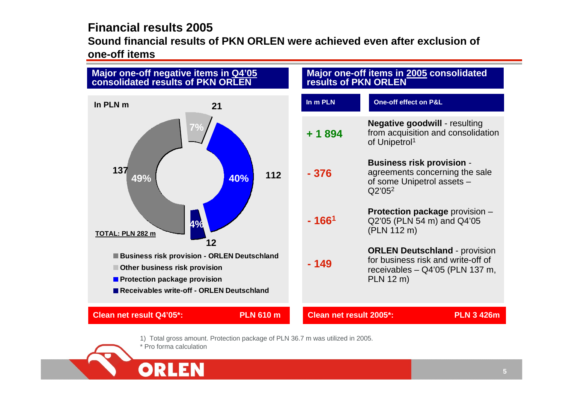### **Financial results 2005**

**Sound financial results of PKN ORLEN were achieved even after exclusion ofone-off items** 



- 1) Total gross amount. Protection package of PLN 36.7 m was utilized in 2005.
- \* Pro forma calculation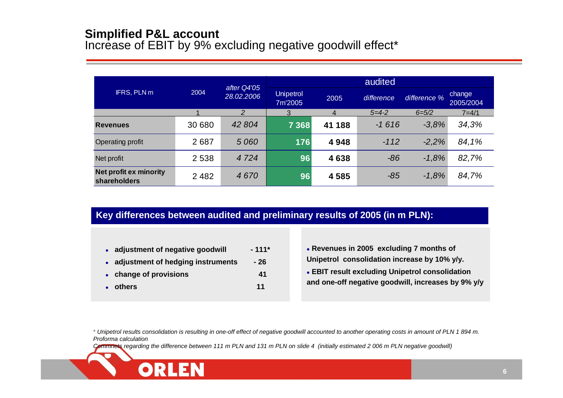### **Simplified P&L account**

Increase of EBIT by 9% excluding negative goodwill effect\*

|                                               |                                                                  |         |         |            | audited      |                     |           |
|-----------------------------------------------|------------------------------------------------------------------|---------|---------|------------|--------------|---------------------|-----------|
| IFRS, PLN m                                   | after Q4'05<br>2004<br><b>Unipetrol</b><br>28.02.2006<br>7m'2005 |         | 2005    | difference | difference % | change<br>2005/2004 |           |
|                                               |                                                                  | 2       | 3       | 4          | $5 = 4 - 2$  | $6 = 5/2$           | $7 = 4/1$ |
| <b>Revenues</b>                               | 30 680                                                           | 42 804  | 7 3 6 8 | 41 188     | $-1616$      | $-3,8%$             | 34,3%     |
| Operating profit                              | 2687                                                             | 5 0 6 0 | 176     | 4948       | $-112$       | $-2.2%$             | 84,1%     |
| Net profit                                    | 2 5 3 8                                                          | 4724    | 96      | 4638       | $-86$        | $-1,8%$             | 82,7%     |
| <b>Net profit ex minority</b><br>shareholders | 2 4 8 2                                                          | 4670    | 96      | 4585       | $-85$        | $-1,8%$             | 84,7%     |

### **Key differences between audited and preliminary results of 2005 (in m PLN):**

- o **adjustment of negative goodwill - 111\***
- o **adjustment of hedging instruments - 26**
- z **change of provisions 41**
- z **others 11**
- z **Revenues in 2005 excluding 7 months of Unipetrol consolidation increase by 10% y/y.**
- **EBIT result excluding Unipetrol consolidation and one-off negative goodwill, increases by 9% y/y**

\* *Unipetrol results consolidation is resulting in one-off effect of negative goodwill accounted to another operating costs in amount of PLN 1 894 m. Proforma calculation*

*Commnets regarding the difference between 111 m PLN and 131 m PLN on slide 4 (initially estimated 2 006 m PLN negative goodwill)*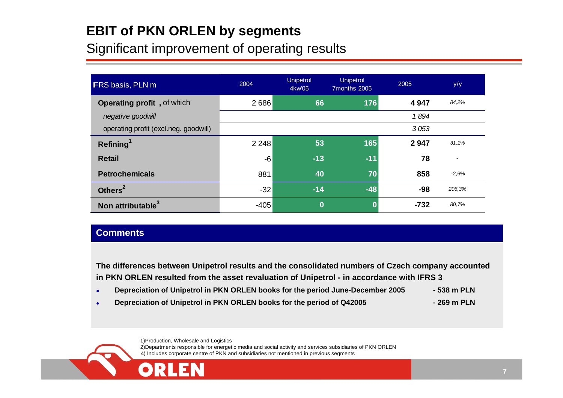# **EBIT of PKN ORLEN by segments**

# Significant improvement of operating results

| <b>IFRS basis, PLN m</b>              | 2004    | <b>Unipetrol</b><br>4kw'05 | <b>Unipetrol</b><br>7months 2005 | 2005   | y/y     |
|---------------------------------------|---------|----------------------------|----------------------------------|--------|---------|
| Operating profit, of which            | 2686    | 66                         | 176                              | 4947   | 84,2%   |
| negative goodwill                     |         |                            |                                  | 1894   |         |
| operating profit (excl.neg. goodwill) |         |                            |                                  | 3053   |         |
| Refining <sup>1</sup>                 | 2 2 4 8 | 53                         | 165                              | 2947   | 31,1%   |
| <b>Retail</b>                         | $-6$    | $-13$                      | $-11$                            | 78     |         |
| <b>Petrochemicals</b>                 | 881     | 40                         | 70                               | 858    | $-2,6%$ |
| Others <sup>2</sup>                   | $-32$   | $-14$                      | $-48$                            | -98    | 206,3%  |
| Non attributable <sup>3</sup>         | $-405$  | $\bf{0}$                   |                                  | $-732$ | 80,7%   |

### **Comments**

The differences between Unipetrol results and the consolidated numbers of Czech company accounted **in PKN ORLEN resulted from the asset revaluation of Uni petrol - in accordance with I FRS 3** 

- o **Depreciation of Unipetrol in PKN ORLEN b ooks for the period June-December 2005 - 538 m PLN**
- e **Depreciation of Unipetrol in PKN ORLEN b ooks for the period of Q42005 - 269 m PLN**

1)Production, Wholesale and Logistics 2)Departments responsible for energetic media and social activity and services subsidiaries of P K N ORLEN 4) Includes corporate centre of PK N and subsidiaries not mentioned in previous segments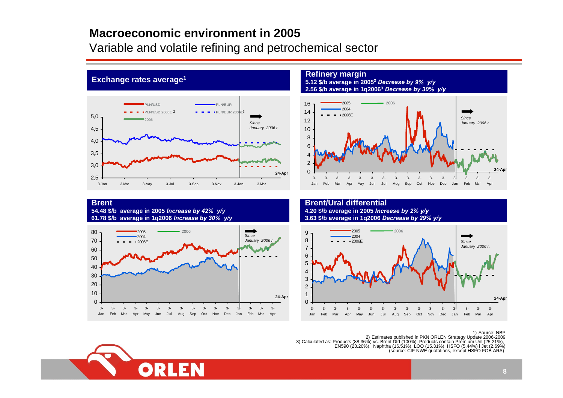### **Macroeconomic environment in 2005**

Variable and volatile refining and petrochemical sector



#### **Refinery margin**

**5.12 \$/b a verage in 20053** *Decrease b y 9% y/y* **2.56 \$/b a v erage in 1q20063** *Decrease b y 30% y/y*



#### **Brent 54.48 \$/b av erage in 2005** *Increase b y 42 % y/y* **61.78 \$/b av erage in 1q2006** *Increase b y 30% y/y*

**Exchange rates average1**



**Brent/Ural differential4.20 \$/b av erag e in 2005** *Increase by 2% y/y* **3.63 \$/b av erag e in 1q2006** *Decrease b y 29% y/y*



#### 1) Source: NBP

2) Estimates published in PKN ORLEN Strategy Update 2006-2009<br>3) Calculated as: Products (88.36%) vs. Brent Dtd (100%). Products contain Premium Unl (25.21%), EN590 (23.20%), Naphtha (16.51%), LOO (15.31%), HSFO (5.44%) i Jet (2.69%) (source: CIF N WE quotations, except HSFO FOB ARA)

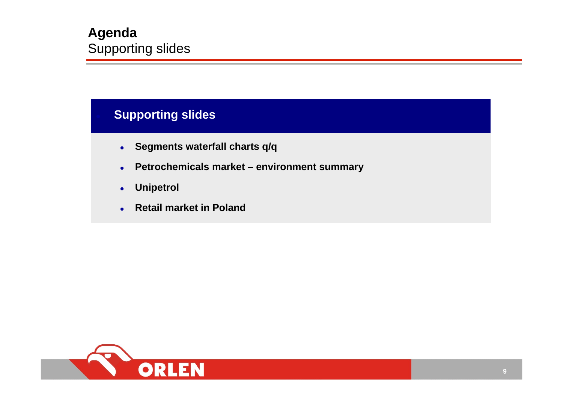## **Supporting slides**

- $\bullet$ **Segments waterfall charts q/q**
- $\bullet$ **Petrochemicals market – environment summary**
- $\bullet$ **Unipetrol**
- $\bullet$ **Retail market in Poland**

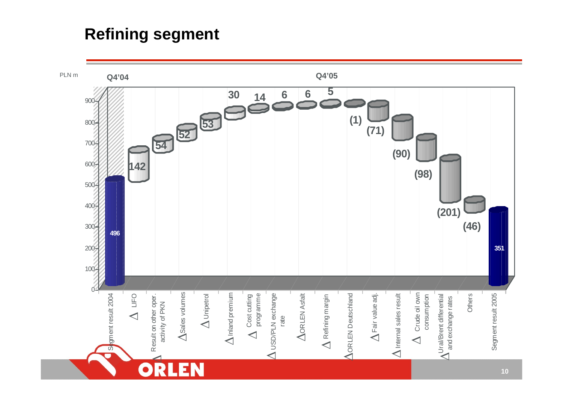# **Refining segment**

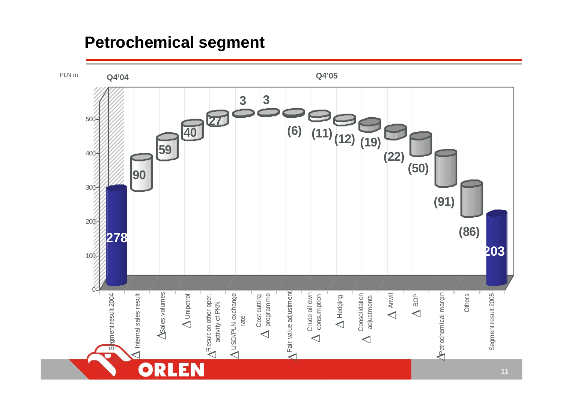# **Petrochemical segment**

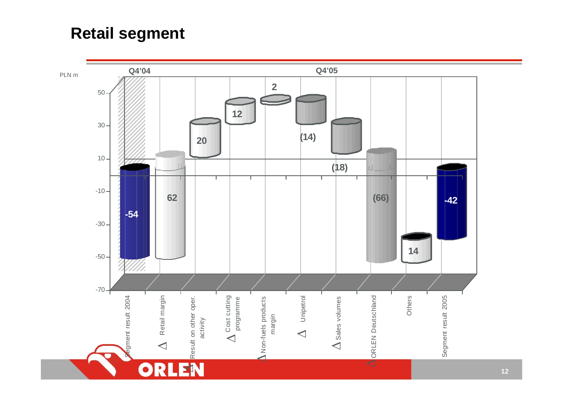# **Retail segment**

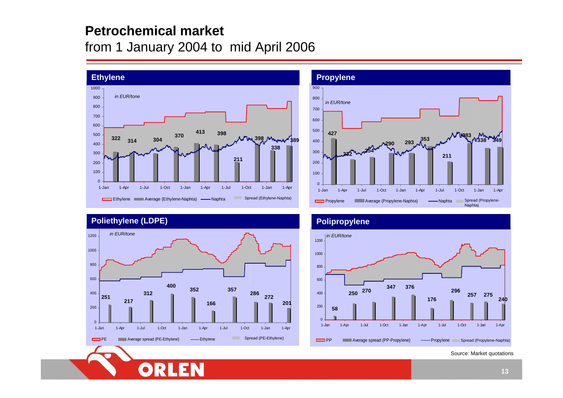## **Petrochemical market**

# from 1 January 2004 to mid April 2006





### **Poliethylene (LDPE) Polipropylene**





Source: Market quotations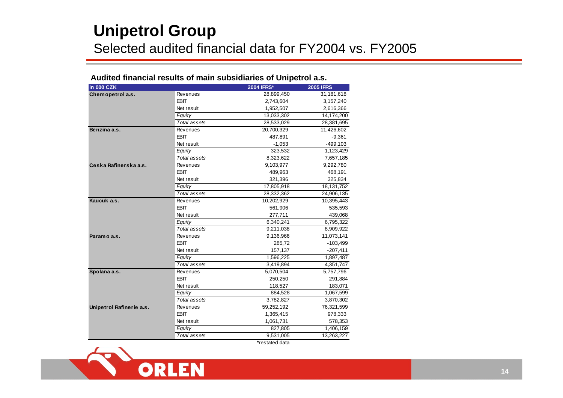# **Unipetrol Group** Selected audited financial data for FY2004 vs. FY2005

### **Audited financial results of main subsidiaries of Unipetrol a.s.**

| <b>in 000 CZK</b>        |                     | <b>2004 IFRS*</b> | <b>2005 IFRS</b> |  |
|--------------------------|---------------------|-------------------|------------------|--|
| Chemopetrol a.s.         | Revenues            | 28,899,450        | 31,181,618       |  |
|                          | <b>EBIT</b>         | 2,743,604         | 3,157,240        |  |
|                          | Net result          | 1,952,507         | 2,616,366        |  |
|                          | Equity              | 13,033,302        | 14,174,200       |  |
|                          | <b>Total assets</b> | 28,533,029        | 28,381,695       |  |
| Benzina a.s.             | Revenues            | 20,700,329        | 11,426,602       |  |
|                          | <b>EBIT</b>         | 487,891           | $-9,361$         |  |
|                          | Net result          | $-1,053$          | $-499,103$       |  |
|                          | Equity              | 323.532           | 1,123,429        |  |
|                          | Total assets        | 8,323,622         | 7,657,185        |  |
| Ceska Rafinerska a.s.    | Revenues            | 9,103,977         | 9,292,780        |  |
|                          | <b>EBIT</b>         | 489,963           | 468,191          |  |
|                          | Net result          | 321,396           | 325,834          |  |
|                          | Equity              | 17,805,918        | 18,131,752       |  |
|                          | Total assets        | 28,332,362        | 24,906,135       |  |
| Kaucuk a.s.              | Revenues            | 10,202,929        | 10,395,443       |  |
|                          | <b>EBIT</b>         | 561,906           | 535,593          |  |
|                          | Net result          | 277,711           | 439,068          |  |
|                          | Equity              | 6,340,241         | 6,795,322        |  |
|                          | Total assets        | 9,211,038         | 8,909,922        |  |
| Paramo a.s.              | Revenues            | 9,136,966         | 11,073,141       |  |
|                          | <b>EBIT</b>         | 285,72            | $-103,499$       |  |
|                          | Net result          | 157,137           | $-207,411$       |  |
|                          | Equity              | 1,596,225         | 1,897,487        |  |
|                          | Total assets        | 3,419,894         | 4,351,747        |  |
| Spolana a.s.             | Revenues            | 5,070,504         | 5,757,796        |  |
|                          | <b>EBIT</b>         | 250,250           | 291,884          |  |
|                          | Net result          | 118,527           | 183,071          |  |
|                          | Equity              | 884,528           | 1,067,599        |  |
|                          | Total assets        | 3,782,827         | 3,870,302        |  |
| Unipetrol Rafinerie a.s. | <b>Revenues</b>     | 59,252,192        | 76,321,599       |  |
|                          | <b>EBIT</b>         | 1,365,415         | 978,333          |  |
|                          | Net result          | 1,061,731         | 578,353          |  |
|                          | Equity              | 827,805           | 1,406,159        |  |
|                          | Total assets        | 9,531,005         | 13,263,227       |  |
|                          |                     | *restated data    |                  |  |

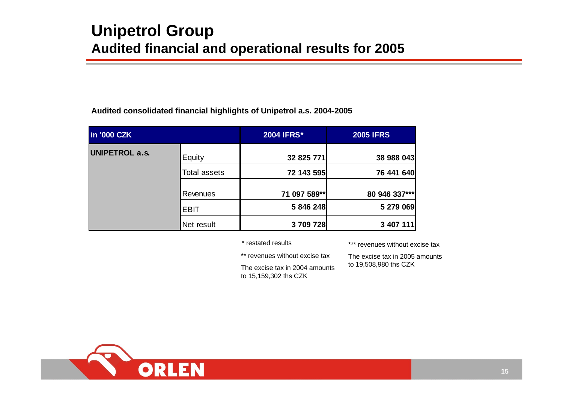#### **Audited consolidated financial highlights of Unipetrol a.s. 2004-2005**

| in '000 CZK           |              | <b>2004 IFRS*</b> | <b>2005 IFRS</b> |
|-----------------------|--------------|-------------------|------------------|
| <b>UNIPETROL a.s.</b> | Equity       | 32 825 771        | 38 988 043       |
|                       | Total assets | 72 143 595        | 76 441 640       |
|                       | Revenues     | 71 097 589**      | 80 946 337***    |
|                       | <b>EBIT</b>  | 5 846 248         | 5 279 069        |
|                       | Net result   | 3709728           | 3 407 111        |

\* restated

\*\* revenues without excise tax

The excise tax in 2004 amounts to 15,159,302 ths CZK

results \*\*\* revenues without excise tax

The excise tax in 2005 amounts to 19,508,980 ths CZK

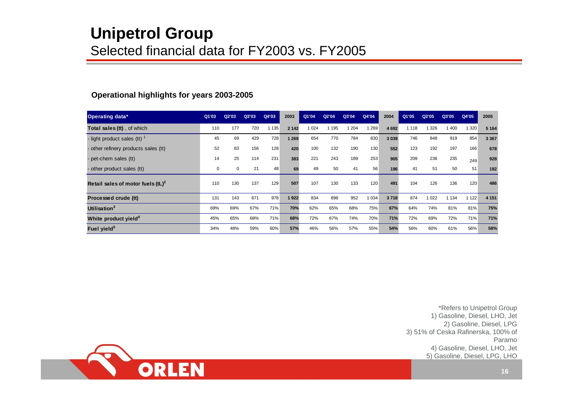# **Unipetrol Group** Selected financial data for FY2003 vs. FY2005

|  |  | <b>Operational highlights for years 2003-2005</b> |
|--|--|---------------------------------------------------|

| Operating data*                      | Q1'03 | Q2'03 | Q3'03 | Q4'03   | 2003    | Q1'04 | Q2'04   | Q3'04   | Q4'04   | 2004    | Q1'05   | Q2'05   | Q3'05   | Q4'05   | 2005    |
|--------------------------------------|-------|-------|-------|---------|---------|-------|---------|---------|---------|---------|---------|---------|---------|---------|---------|
| Total sales (tt), of which           | 110   | 177   | 720   | 1 1 3 5 | 2 1 4 2 | 024   | 1 1 9 5 | 1 2 0 4 | 1 2 6 9 | 4 6 9 2 | 1 1 1 8 | 1 326   | 1400    | 320     | 5 1 6 4 |
| - light product sales (tt) $^1$      | 45    | 69    | 429   | 728     | 1 2 6 9 | 654   | 770     | 784     | 830     | 3 0 3 9 | 746     | 848     | 919     | 854     | 3 3 6 7 |
| - other refinery products sales (tt) | 52    | 83    | 156   | 128     | 420     | 100   | 132     | 190     | 130     | 552     | 123     | 192     | 197     | 166     | 678     |
| - pet-chem sales (tt)                | 14    | 25    | 114   | 231     | 383     | 221   | 243     | 189     | 253     | 905     | 209     | 236     | 235     | 249     | 928     |
| - other product sales (tt)           | 0     | 0     | 21    | 48      | 69      | 49    | 50      | 41      | 56      | 196     | 41      | 51      | 50      | 51      | 192     |
| Retail sales of motor fuels $(tL)^2$ | 110   | 130   | 137   | 129     | 507     | 107   | 130     | 133     | 120     | 491     | 104     | 126     | 136     | 120     | 486     |
| Processed crude (tt)                 | 131   | 143   | 671   | 978     | 1922    | 834   | 898     | 952     | 1 0 3 4 | 3718    | 874     | 1 0 2 2 | 1 1 3 4 | 1 1 2 2 | 4 1 5 1 |
| Utilisation <sup>3</sup>             | 69%   | 69%   | 67%   | 71%     | 70%     | 62%   | 65%     | 68%     | 75%     | 67%     | 64%     | 74%     | 81%     | 81%     | 75%     |
| White product yield <sup>4</sup>     | 45%   | 65%   | 68%   | 71%     | 68%     | 72%   | 67%     | 74%     | 70%     | 71%     | 72%     | 69%     | 72%     | 71%     | 71%     |
| Fuel yield <sup>5</sup>              | 34%   | 48%   | 59%   | 60%     | 57%     | 46%   | 56%     | 57%     | 55%     | 54%     | 56%     | 60%     | 61%     | 56%     | 58%     |

\*Refers to Unipetrol Group 1) Gasoline, Diesel, LHO, Jet 2) Gasoline, Diesel, LPG 3) 51% of Ceska Rafinerska, 100% of Paramo4) Gasoline, Diesel, LHO, Jet 5) Gasoline, Diesel, LPG, LHO

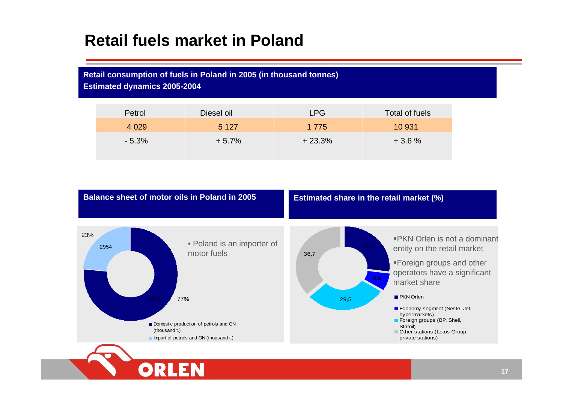# **Retail fuels market in Poland**

### **Retail consumption of fuels in Poland in 2005 (in thousand tonnes)**

**Estimated dynamics 2005-2004**

| Petrol  | Diesel oil | LPG      | Total of fuels |
|---------|------------|----------|----------------|
| 4 0 2 9 | 5 1 2 7    | 1 7 7 5  | 10 931         |
| $-5.3%$ | $+5.7%$    | $+23.3%$ | $+3.6%$        |

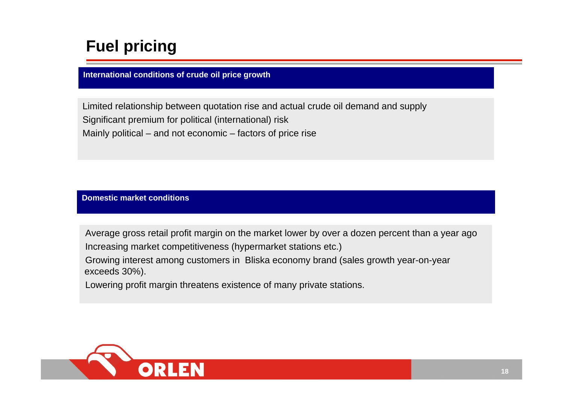# **Fuel pricing**

**International conditions of crude oil price growth**

Limited relationship between quotation rise and actual crude oil demand and supply Significant premium for political (international) risk Mainly political – and not economic – factors of price rise

**Domestic market conditions**

Average gross retail profit margin on the market lower by over a dozen percent than a year ago Increasing market competitiveness (hypermarket stations etc.)

Growing interest among customers in Bliska economy brand (sales growth year-on-year exceeds 30%).

Lowering profit margin threatens existence of many private stations.

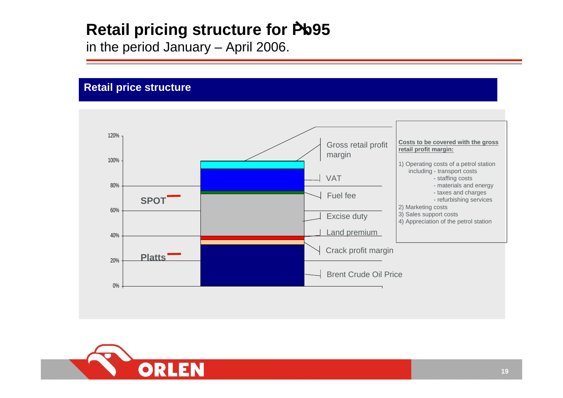# **Retail pricing structure for Pb95**

in the period January – April 2006.

### **Retail price structure**



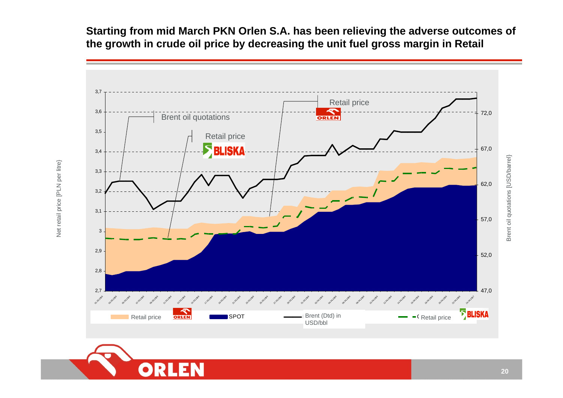**Starting from mid March PKN Orlen S.A. has been relieving the adverse outcomes of the growth in crude oil price by decreasing the unit fuel gross margin in Retail**





Net retail pric

بو

[PLN per litre}

otations [USD/barr

 $\widehat{\overline{\mathbb{e}}}$